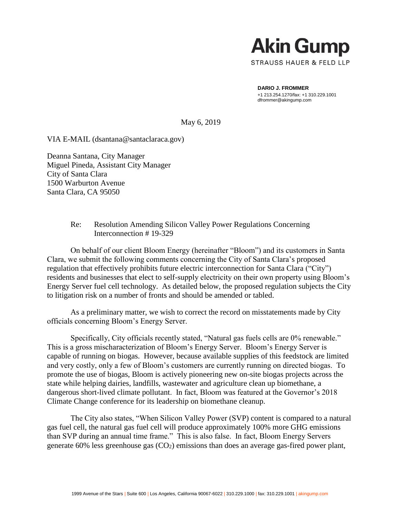

**DARIO J. FROMMER** +1 213.254.1270/fax: +1 310.229.1001 dfrommer@akingump.com

May 6, 2019

VIA E-MAIL (dsantana@santaclaraca.gov)

Deanna Santana, City Manager Miguel Pineda, Assistant City Manager City of Santa Clara 1500 Warburton Avenue Santa Clara, CA 95050

### Re: Resolution Amending Silicon Valley Power Regulations Concerning Interconnection # 19-329

On behalf of our client Bloom Energy (hereinafter "Bloom") and its customers in Santa Clara, we submit the following comments concerning the City of Santa Clara's proposed regulation that effectively prohibits future electric interconnection for Santa Clara ("City") residents and businesses that elect to self-supply electricity on their own property using Bloom's Energy Server fuel cell technology. As detailed below, the proposed regulation subjects the City to litigation risk on a number of fronts and should be amended or tabled.

As a preliminary matter, we wish to correct the record on misstatements made by City officials concerning Bloom's Energy Server.

Specifically, City officials recently stated, "Natural gas fuels cells are 0% renewable." This is a gross mischaracterization of Bloom's Energy Server. Bloom's Energy Server is capable of running on biogas. However, because available supplies of this feedstock are limited and very costly, only a few of Bloom's customers are currently running on directed biogas. To promote the use of biogas, Bloom is actively pioneering new on-site biogas projects across the state while helping dairies, landfills, wastewater and agriculture clean up biomethane, a dangerous short-lived climate pollutant. In fact, Bloom was featured at the Governor's 2018 Climate Change conference for its leadership on biomethane cleanup.

The City also states, "When Silicon Valley Power (SVP) content is compared to a natural gas fuel cell, the natural gas fuel cell will produce approximately 100% more GHG emissions than SVP during an annual time frame." This is also false. In fact, Bloom Energy Servers generate  $60\%$  less greenhouse gas  $(CO_2)$  emissions than does an average gas-fired power plant,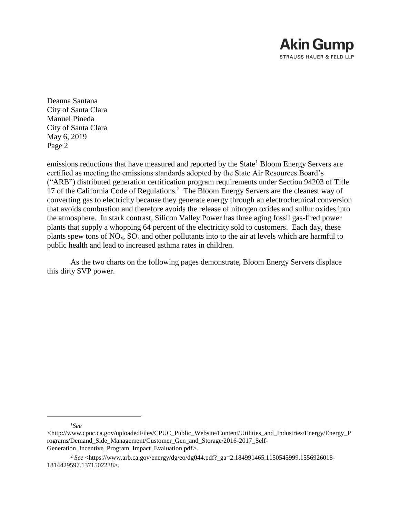

emissions reductions that have measured and reported by the State<sup>1</sup> Bloom Energy Servers are certified as meeting the emissions standards adopted by the State Air Resources Board's ("ARB") distributed generation certification program requirements under Section 94203 of Title 17 of the California Code of Regulations.<sup>2</sup> The Bloom Energy Servers are the cleanest way of converting gas to electricity because they generate energy through an electrochemical conversion that avoids combustion and therefore avoids the release of nitrogen oxides and sulfur oxides into the atmosphere. In stark contrast, Silicon Valley Power has three aging fossil gas-fired power plants that supply a whopping 64 percent of the electricity sold to customers. Each day, these plants spew tons of  $NO_x$ ,  $SO_x$  and other pollutants into to the air at levels which are harmful to public health and lead to increased asthma rates in children.

As the two charts on the following pages demonstrate, Bloom Energy Servers displace this dirty SVP power.

<sup>1</sup>*See* 

*<sup>&</sup>lt;*http://www.cpuc.ca.gov/uploadedFiles/CPUC\_Public\_Website/Content/Utilities\_and\_Industries/Energy/Energy\_P rograms/Demand\_Side\_Management/Customer\_Gen\_and\_Storage/2016-2017\_Self-Generation Incentive Program Impact Evaluation.pdf>.

<sup>2</sup> *See* <https://www.arb.ca.gov/energy/dg/eo/dg044.pdf?\_ga=2.184991465.1150545999.1556926018- 1814429597.1371502238>.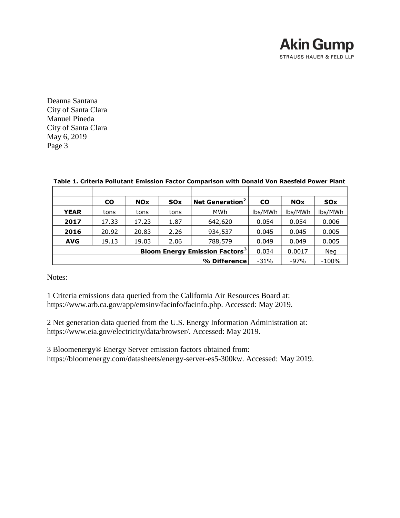

|              | <b>CO</b>                                                 | <b>NO<sub>x</sub></b> | <b>SO<sub>x</sub></b> | Net Generation <sup>2</sup> | <b>CO</b> | <b>NO<sub>x</sub></b> | <b>SO<sub>x</sub></b> |
|--------------|-----------------------------------------------------------|-----------------------|-----------------------|-----------------------------|-----------|-----------------------|-----------------------|
| <b>YEAR</b>  | tons                                                      | tons                  | tons                  | <b>MWh</b>                  | lbs/MWh   | lbs/MWh               | lbs/MWh               |
| 2017         | 17.33                                                     | 17.23                 | 1.87                  | 642,620                     | 0.054     | 0.054                 | 0.006                 |
| 2016         | 20.92                                                     | 20.83                 | 2.26                  | 934,537                     | 0.045     | 0.045                 | 0.005                 |
| <b>AVG</b>   | 19.13                                                     | 19.03                 | 2.06                  | 788,579                     | 0.049     | 0.049                 | 0.005                 |
|              | <b>Bloom Energy Emission Factors<sup>3</sup></b><br>0.034 | 0.0017                | <b>Neg</b>            |                             |           |                       |                       |
| % Difference |                                                           |                       |                       |                             |           | $-97%$                | $-100%$               |

#### **Table 1. Criteria Pollutant Emission Factor Comparison with Donald Von Raesfeld Power Plant**

Notes:

1 Criteria emissions data queried from the California Air Resources Board at: https://www.arb.ca.gov/app/emsinv/facinfo/facinfo.php. Accessed: May 2019.

2 Net generation data queried from the U.S. Energy Information Administration at: https://www.eia.gov/electricity/data/browser/. Accessed: May 2019.

3 Bloomenergy® Energy Server emission factors obtained from: https://bloomenergy.com/datasheets/energy-server-es5-300kw. Accessed: May 2019.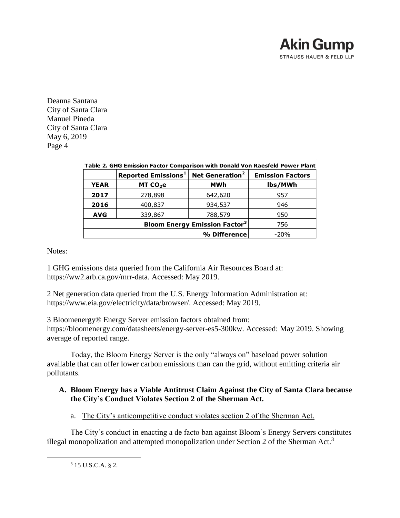

|             | Reported Emissions <sup>1</sup>                 | Net Generation <sup>2</sup> | <b>Emission Factors</b> |  |  |  |
|-------------|-------------------------------------------------|-----------------------------|-------------------------|--|--|--|
| <b>YEAR</b> | MT CO <sub>2</sub> e                            | <b>MWh</b>                  | lbs/MWh                 |  |  |  |
| 2017        | 278,898                                         | 642,620                     | 957                     |  |  |  |
| 2016        | 400,837                                         | 934,537                     | 946                     |  |  |  |
| <b>AVG</b>  | 339,867                                         | 788,579                     | 950                     |  |  |  |
|             | <b>Bloom Energy Emission Factor<sup>3</sup></b> | 756                         |                         |  |  |  |
|             |                                                 | % Difference                | $-20%$                  |  |  |  |

### **Table 2. GHG Emission Factor Comparison with Donald Von Raesfeld Power Plant**

Notes:

1 GHG emissions data queried from the California Air Resources Board at: https://ww2.arb.ca.gov/mrr-data. Accessed: May 2019.

2 Net generation data queried from the U.S. Energy Information Administration at: https://www.eia.gov/electricity/data/browser/. Accessed: May 2019.

3 Bloomenergy® Energy Server emission factors obtained from: https://bloomenergy.com/datasheets/energy-server-es5-300kw. Accessed: May 2019. Showing average of reported range.

Today, the Bloom Energy Server is the only "always on" baseload power solution available that can offer lower carbon emissions than can the grid, without emitting criteria air pollutants.

# **A. Bloom Energy has a Viable Antitrust Claim Against the City of Santa Clara because the City's Conduct Violates Section 2 of the Sherman Act.**

a. The City's anticompetitive conduct violates section 2 of the Sherman Act.

The City's conduct in enacting a de facto ban against Bloom's Energy Servers constitutes illegal monopolization and attempted monopolization under Section 2 of the Sherman Act.<sup>3</sup>

<sup>3</sup> 15 U.S.C.A. § 2.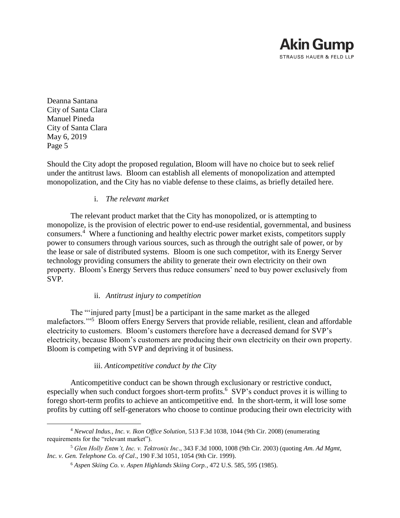Deanna Santana City of Santa Clara Manuel Pineda City of Santa Clara May 6, 2019 Page 5

 $\overline{a}$ 

Should the City adopt the proposed regulation, Bloom will have no choice but to seek relief under the antitrust laws. Bloom can establish all elements of monopolization and attempted monopolization, and the City has no viable defense to these claims, as briefly detailed here.

### i. *The relevant market*

The relevant product market that the City has monopolized, or is attempting to monopolize, is the provision of electric power to end-use residential, governmental, and business consumers. 4 Where a functioning and healthy electric power market exists, competitors supply power to consumers through various sources, such as through the outright sale of power, or by the lease or sale of distributed systems. Bloom is one such competitor, with its Energy Server technology providing consumers the ability to generate their own electricity on their own property. Bloom's Energy Servers thus reduce consumers' need to buy power exclusively from SVP.

### ii. *Antitrust injury to competition*

The "'injured party [must] be a participant in the same market as the alleged malefactors."<sup>5</sup> Bloom offers Energy Servers that provide reliable, resilient, clean and affordable electricity to customers. Bloom's customers therefore have a decreased demand for SVP's electricity, because Bloom's customers are producing their own electricity on their own property. Bloom is competing with SVP and depriving it of business.

### iii. *Anticompetitive conduct by the City*

Anticompetitive conduct can be shown through exclusionary or restrictive conduct, especially when such conduct forgoes short-term profits.<sup>6</sup> SVP's conduct proves it is willing to forego short-term profits to achieve an anticompetitive end. In the short-term, it will lose some profits by cutting off self-generators who choose to continue producing their own electricity with

<sup>4</sup> *Newcal Indus., Inc. v. Ikon Office Solution,* 513 F.3d 1038, 1044 (9th Cir. 2008) (enumerating requirements for the "relevant market").

<sup>5</sup> *Glen Holly Entm't, Inc. v. Tektronix Inc*., 343 F.3d 1000, 1008 (9th Cir. 2003) (quoting *Am. Ad Mgmt, Inc. v. Gen. Telephone Co. of Cal*., 190 F.3d 1051, 1054 (9th Cir. 1999).

<sup>6</sup> *Aspen Skiing Co. v. Aspen Highlands Skiing Corp.*, 472 U.S. 585, 595 (1985).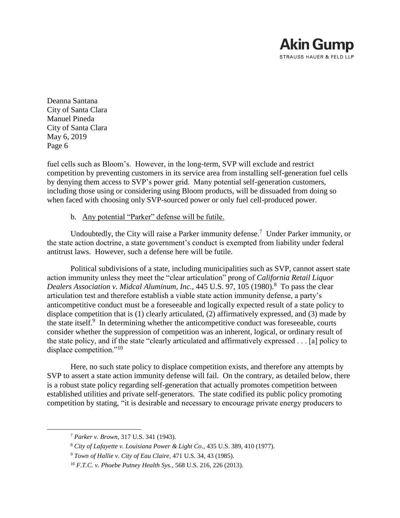

fuel cells such as Bloom's. However, in the long-term, SVP will exclude and restrict competition by preventing customers in its service area from installing self-generation fuel cells by denying them access to SVP's power grid. Many potential self-generation customers, including those using or considering using Bloom products, will be dissuaded from doing so when faced with choosing only SVP-sourced power or only fuel cell-produced power.

#### b. Any potential "Parker" defense will be futile.

Undoubtedly, the City will raise a Parker immunity defense.<sup>7</sup> Under Parker immunity, or the state action doctrine, a state government's conduct is exempted from liability under federal antitrust laws. However, such a defense here will be futile.

Political subdivisions of a state, including municipalities such as SVP, cannot assert state action immunity unless they meet the "clear articulation" prong of *California Retail Liquor*  Dealers Association v. Midcal Aluminum, Inc., 445 U.S. 97, 105 (1980).<sup>8</sup> To pass the clear articulation test and therefore establish a viable state action immunity defense, a party's anticompetitive conduct must be a foreseeable and logically expected result of a state policy to displace competition that is (1) clearly articulated, (2) affirmatively expressed, and (3) made by the state itself.<sup>9</sup> In determining whether the anticompetitive conduct was foreseeable, courts consider whether the suppression of competition was an inherent, logical, or ordinary result of the state policy, and if the state "clearly articulated and affirmatively expressed . . . [a] policy to displace competition."<sup>10</sup>

Here, no such state policy to displace competition exists, and therefore any attempts by SVP to assert a state action immunity defense will fail. On the contrary, as detailed below, there is a robust state policy regarding self-generation that actually promotes competition between established utilities and private self-generators. The state codified its public policy promoting competition by stating, "it is desirable and necessary to encourage private energy producers to

<sup>7</sup> *Parker v. Brown*, 317 U.S. 341 (1943).

<sup>8</sup> *City of Lafayette v. Louisiana Power & Light Co*., 435 U.S. 389, 410 (1977).

<sup>9</sup> *Town of Hallie v. City of Eau Claire*, 471 U.S. 34, 43 (1985).

<sup>10</sup> *F.T.C. v. Phoebe Putney Health Sys.*, 568 U.S. 216, 226 (2013).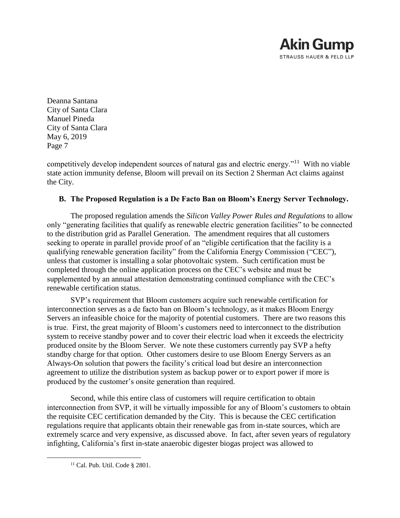Deanna Santana City of Santa Clara Manuel Pineda City of Santa Clara May 6, 2019 Page 7

competitively develop independent sources of natural gas and electric energy."<sup>11</sup> With no viable state action immunity defense, Bloom will prevail on its Section 2 Sherman Act claims against the City.

## **B. The Proposed Regulation is a De Facto Ban on Bloom's Energy Server Technology.**

The proposed regulation amends the *Silicon Valley Power Rules and Regulations* to allow only "generating facilities that qualify as renewable electric generation facilities" to be connected to the distribution grid as Parallel Generation. The amendment requires that all customers seeking to operate in parallel provide proof of an "eligible certification that the facility is a qualifying renewable generation facility" from the California Energy Commission ("CEC"), unless that customer is installing a solar photovoltaic system. Such certification must be completed through the online application process on the CEC's website and must be supplemented by an annual attestation demonstrating continued compliance with the CEC's renewable certification status.

SVP's requirement that Bloom customers acquire such renewable certification for interconnection serves as a de facto ban on Bloom's technology, as it makes Bloom Energy Servers an infeasible choice for the majority of potential customers. There are two reasons this is true. First, the great majority of Bloom's customers need to interconnect to the distribution system to receive standby power and to cover their electric load when it exceeds the electricity produced onsite by the Bloom Server. We note these customers currently pay SVP a hefty standby charge for that option. Other customers desire to use Bloom Energy Servers as an Always-On solution that powers the facility's critical load but desire an interconnection agreement to utilize the distribution system as backup power or to export power if more is produced by the customer's onsite generation than required.

Second, while this entire class of customers will require certification to obtain interconnection from SVP, it will be virtually impossible for any of Bloom's customers to obtain the requisite CEC certification demanded by the City. This is because the CEC certification regulations require that applicants obtain their renewable gas from in-state sources, which are extremely scarce and very expensive, as discussed above. In fact, after seven years of regulatory infighting, California's first in-state anaerobic digester biogas project was allowed to

<sup>11</sup> Cal. Pub. Util. Code § 2801.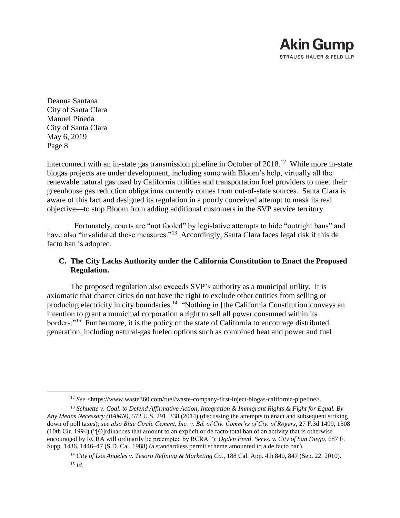

 $\overline{a}$ 

interconnect with an in-state gas transmission pipeline in October of 2018.<sup>12</sup> While more in-state biogas projects are under development, including some with Bloom's help, virtually all the renewable natural gas used by California utilities and transportation fuel providers to meet their greenhouse gas reduction obligations currently comes from out-of-state sources. Santa Clara is aware of this fact and designed its regulation in a poorly conceived attempt to mask its real objective—to stop Bloom from adding additional customers in the SVP service territory.

 Fortunately, courts are "not fooled" by legislative attempts to hide "outright bans" and have also "invalidated those measures."<sup>13</sup> Accordingly, Santa Clara faces legal risk if this de facto ban is adopted.

## **C. The City Lacks Authority under the California Constitution to Enact the Proposed Regulation.**

The proposed regulation also exceeds SVP's authority as a municipal utility. It is axiomatic that charter cities do not have the right to exclude other entities from selling or producing electricity in city boundaries.<sup>14</sup> "Nothing in [the California Constitution]conveys an intention to grant a municipal corporation a right to sell all power consumed within its borders."<sup>15</sup> Furthermore, it is the policy of the state of California to encourage distributed generation, including natural-gas fueled options such as combined heat and power and fuel

<sup>12</sup> *See* <https://www.waste360.com/fuel/waste-company-first-inject-biogas-california-pipeline>.

<sup>13</sup> *Schuette v. Coal. to Defend Affirmative Action, Integration & Immigrant Rights & Fight for Equal. By Any Means Necessary (BAMN)*, 572 U.S. 291, 338 (2014) (discussing the attempts to enact and subsequent striking down of poll taxes); *see also Blue Circle Cement, Inc. v. Bd. of Cty. Comm'rs of Cty. of Rogers*, 27 F.3d 1499, 1508 (10th Cir. 1994) ("[O]rdinances that amount to an explicit or de facto total ban of an activity that is otherwise encouraged by RCRA will ordinarily be preempted by RCRA."); *Ogden Envtl. Servs. v. City of San Diego*, 687 F. Supp. 1436, 1446–47 (S.D. Cal. 1988) (a standardless permit scheme amounted to a de facto ban).

<sup>14</sup> *City of Los Angeles v. Tesoro Refining & Marketing Co.*, 188 Cal. App. 4th 840, 847 (Sep. 22, 2010). <sup>15</sup> *Id*.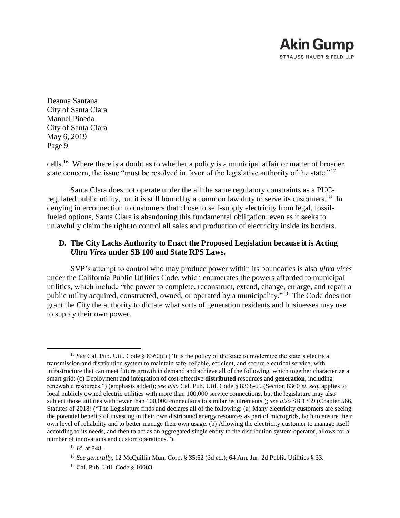Deanna Santana City of Santa Clara Manuel Pineda City of Santa Clara May 6, 2019 Page 9

cells.<sup>16</sup> Where there is a doubt as to whether a policy is a municipal affair or matter of broader state concern, the issue "must be resolved in favor of the legislative authority of the state."<sup>17</sup>

Santa Clara does not operate under the all the same regulatory constraints as a PUCregulated public utility, but it is still bound by a common law duty to serve its customers.<sup>18</sup> In denying interconnection to customers that chose to self-supply electricity from legal, fossilfueled options, Santa Clara is abandoning this fundamental obligation, even as it seeks to unlawfully claim the right to control all sales and production of electricity inside its borders.

## **D. The City Lacks Authority to Enact the Proposed Legislation because it is Acting**  *Ultra Vires* **under SB 100 and State RPS Laws.**

SVP's attempt to control who may produce power within its boundaries is also *ultra vires* under the California Public Utilities Code, which enumerates the powers afforded to municipal utilities, which include "the power to complete, reconstruct, extend, change, enlarge, and repair a public utility acquired, constructed, owned, or operated by a municipality."<sup>19</sup> The Code does not grant the City the authority to dictate what sorts of generation residents and businesses may use to supply their own power.

 $\overline{a}$ <sup>16</sup> *See* Cal. Pub. Util. Code § 8360(c) ("It is the policy of the state to modernize the state's electrical transmission and distribution system to maintain safe, reliable, efficient, and secure electrical service, with infrastructure that can meet future growth in demand and achieve all of the following, which together characterize a smart grid: (c) Deployment and integration of cost-effective **distributed** resources and **generation**, including renewable resources.") (emphasis added); *see also* Cal. Pub. Util. Code § 8368-69 (Section 8360 *et. seq.* applies to local publicly owned electric utilities with more than 100,000 service connections, but the legislature may also subject those utilities with fewer than 100,000 connections to similar requirements.); *see also* SB 1339 (Chapter 566, Statutes of 2018) ("The Legislature finds and declares all of the following: (a) Many electricity customers are seeing the potential benefits of investing in their own distributed energy resources as part of microgrids, both to ensure their own level of reliability and to better manage their own usage. (b) Allowing the electricity customer to manage itself according to its needs, and then to act as an aggregated single entity to the distribution system operator, allows for a number of innovations and custom operations.").

<sup>17</sup> *Id*. at 848.

<sup>&</sup>lt;sup>18</sup> See generally, 12 McQuillin Mun. Corp. § 35:52 (3d ed.); 64 Am. Jur. 2d Public Utilities § 33.

<sup>19</sup> Cal. Pub. Util. Code § 10003.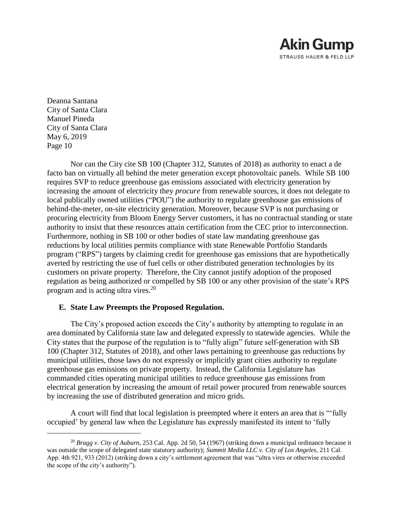Deanna Santana City of Santa Clara Manuel Pineda City of Santa Clara May 6, 2019 Page 10

 $\overline{a}$ 

Nor can the City cite SB 100 (Chapter 312, Statutes of 2018) as authority to enact a de facto ban on virtually all behind the meter generation except photovoltaic panels. While SB 100 requires SVP to reduce greenhouse gas emissions associated with electricity generation by increasing the amount of electricity they *procure* from renewable sources, it does not delegate to local publically owned utilities ("POU") the authority to regulate greenhouse gas emissions of behind-the-meter, on-site electricity generation. Moreover, because SVP is not purchasing or procuring electricity from Bloom Energy Server customers, it has no contractual standing or state authority to insist that these resources attain certification from the CEC prior to interconnection. Furthermore, nothing in SB 100 or other bodies of state law mandating greenhouse gas reductions by local utilities permits compliance with state Renewable Portfolio Standards program ("RPS") targets by claiming credit for greenhouse gas emissions that are hypothetically averted by restricting the use of fuel cells or other distributed generation technologies by its customers on private property. Therefore, the City cannot justify adoption of the proposed regulation as being authorized or compelled by SB 100 or any other provision of the state's RPS program and is acting ultra vires.<sup>20</sup>

### **E. State Law Preempts the Proposed Regulation.**

The City's proposed action exceeds the City's authority by attempting to regulate in an area dominated by California state law and delegated expressly to statewide agencies. While the City states that the purpose of the regulation is to "fully align" future self-generation with SB 100 (Chapter 312, Statutes of 2018), and other laws pertaining to greenhouse gas reductions by municipal utilities, those laws do not expressly or implicitly grant cities authority to regulate greenhouse gas emissions on private property. Instead, the California Legislature has commanded cities operating municipal utilities to reduce greenhouse gas emissions from electrical generation by increasing the amount of retail power procured from renewable sources by increasing the use of distributed generation and micro grids.

A court will find that local legislation is preempted where it enters an area that is "'fully occupied' by general law when the Legislature has expressly manifested its intent to 'fully

<sup>20</sup> *Bragg v. City of Auburn*, 253 Cal. App. 2d 50, 54 (1967) (striking down a municipal ordinance because it was outside the scope of delegated state statutory authority); *Summit Media LLC v. City of Los Angeles*, 211 Cal. App. 4th 921, 933 (2012) (striking down a city's settlement agreement that was "ultra vires or otherwise exceeded the scope of the city's authority").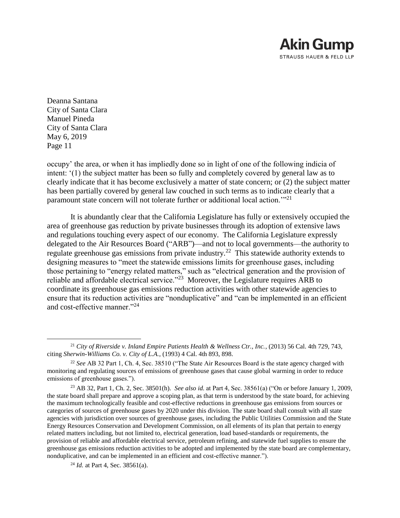

 $\overline{a}$ 

occupy' the area, or when it has impliedly done so in light of one of the following indicia of intent: '(1) the subject matter has been so fully and completely covered by general law as to clearly indicate that it has become exclusively a matter of state concern; or (2) the subject matter has been partially covered by general law couched in such terms as to indicate clearly that a paramount state concern will not tolerate further or additional local action.'"<sup>21</sup>

It is abundantly clear that the California Legislature has fully or extensively occupied the area of greenhouse gas reduction by private businesses through its adoption of extensive laws and regulations touching every aspect of our economy. The California Legislature expressly delegated to the Air Resources Board ("ARB")—and not to local governments—the authority to regulate greenhouse gas emissions from private industry.<sup>22</sup> This statewide authority extends to designing measures to "meet the statewide emissions limits for greenhouse gases, including those pertaining to "energy related matters," such as "electrical generation and the provision of reliable and affordable electrical service."<sup>23</sup> Moreover, the Legislature requires ARB to coordinate its greenhouse gas emissions reduction activities with other statewide agencies to ensure that its reduction activities are "nonduplicative" and "can be implemented in an efficient and cost-effective manner."<sup>24</sup>

<sup>21</sup> *City of Riverside v. Inland Empire Patients Health & Wellness Ctr., Inc.*, (2013) 56 Cal. 4th 729, 743, citing *Sherwin-Williams Co. v. City of L.A.*, (1993) 4 Cal. 4th 893, 898.

<sup>22</sup> *See* AB 32 Part 1, Ch. 4, Sec. 38510 ("The State Air Resources Board is the state agency charged with monitoring and regulating sources of emissions of greenhouse gases that cause global warming in order to reduce emissions of greenhouse gases.").

<sup>23</sup> AB 32, Part 1, Ch. 2, Sec. 38501(h). *See also id.* at Part 4, Sec. 38561(a) ("On or before January 1, 2009, the state board shall prepare and approve a scoping plan, as that term is understood by the state board, for achieving the maximum technologically feasible and cost-effective reductions in greenhouse gas emissions from sources or categories of sources of greenhouse gases by 2020 under this division. The state board shall consult with all state agencies with jurisdiction over sources of greenhouse gases, including the Public Utilities Commission and the State Energy Resources Conservation and Development Commission, on all elements of its plan that pertain to energy related matters including, but not limited to, electrical generation, load based-standards or requirements, the provision of reliable and affordable electrical service, petroleum refining, and statewide fuel supplies to ensure the greenhouse gas emissions reduction activities to be adopted and implemented by the state board are complementary, nonduplicative, and can be implemented in an efficient and cost-effective manner.").

<sup>24</sup> *Id.* at Part 4, Sec. 38561(a).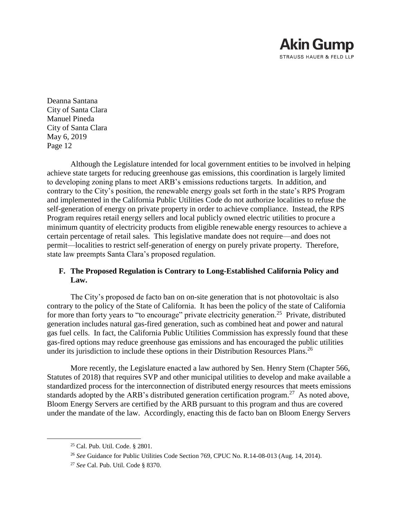Deanna Santana City of Santa Clara Manuel Pineda City of Santa Clara May 6, 2019 Page 12

Although the Legislature intended for local government entities to be involved in helping achieve state targets for reducing greenhouse gas emissions, this coordination is largely limited to developing zoning plans to meet ARB's emissions reductions targets. In addition, and contrary to the City's position, the renewable energy goals set forth in the state's RPS Program and implemented in the California Public Utilities Code do not authorize localities to refuse the self-generation of energy on private property in order to achieve compliance. Instead, the RPS Program requires retail energy sellers and local publicly owned electric utilities to procure a minimum quantity of electricity products from eligible renewable energy resources to achieve a certain percentage of retail sales. This legislative mandate does not require—and does not permit—localities to restrict self-generation of energy on purely private property. Therefore, state law preempts Santa Clara's proposed regulation.

# **F. The Proposed Regulation is Contrary to Long-Established California Policy and Law.**

The City's proposed de facto ban on on-site generation that is not photovoltaic is also contrary to the policy of the State of California. It has been the policy of the state of California for more than forty years to "to encourage" private electricity generation.<sup>25</sup> Private, distributed generation includes natural gas-fired generation, such as combined heat and power and natural gas fuel cells. In fact, the California Public Utilities Commission has expressly found that these gas-fired options may reduce greenhouse gas emissions and has encouraged the public utilities under its jurisdiction to include these options in their Distribution Resources Plans.<sup>26</sup>

More recently, the Legislature enacted a law authored by Sen. Henry Stern (Chapter 566, Statutes of 2018) that requires SVP and other municipal utilities to develop and make available a standardized process for the interconnection of distributed energy resources that meets emissions standards adopted by the ARB's distributed generation certification program.<sup>27</sup> As noted above, Bloom Energy Servers are certified by the ARB pursuant to this program and thus are covered under the mandate of the law. Accordingly, enacting this de facto ban on Bloom Energy Servers

<sup>25</sup> Cal. Pub. Util. Code. § 2801.

<sup>26</sup> *See* Guidance for Public Utilities Code Section 769, CPUC No. R.14-08-013 (Aug. 14, 2014).

<sup>27</sup> *See* Cal. Pub. Util. Code § 8370.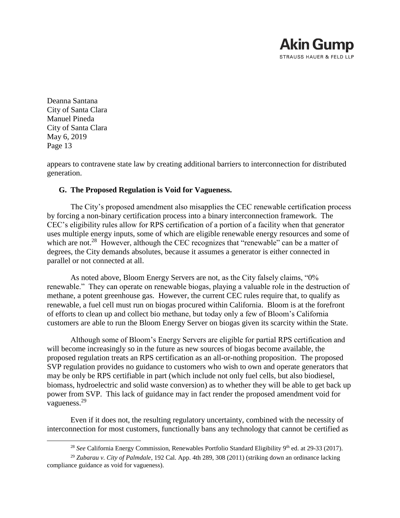Deanna Santana City of Santa Clara Manuel Pineda City of Santa Clara May 6, 2019 Page 13

 $\overline{a}$ 

appears to contravene state law by creating additional barriers to interconnection for distributed generation.

## **G. The Proposed Regulation is Void for Vagueness.**

The City's proposed amendment also misapplies the CEC renewable certification process by forcing a non-binary certification process into a binary interconnection framework. The CEC's eligibility rules allow for RPS certification of a portion of a facility when that generator uses multiple energy inputs, some of which are eligible renewable energy resources and some of which are not.<sup>28</sup> However, although the CEC recognizes that "renewable" can be a matter of degrees, the City demands absolutes, because it assumes a generator is either connected in parallel or not connected at all.

As noted above, Bloom Energy Servers are not, as the City falsely claims, "0% renewable." They can operate on renewable biogas, playing a valuable role in the destruction of methane, a potent greenhouse gas. However, the current CEC rules require that, to qualify as renewable, a fuel cell must run on biogas procured within California. Bloom is at the forefront of efforts to clean up and collect bio methane, but today only a few of Bloom's California customers are able to run the Bloom Energy Server on biogas given its scarcity within the State.

Although some of Bloom's Energy Servers are eligible for partial RPS certification and will become increasingly so in the future as new sources of biogas become available, the proposed regulation treats an RPS certification as an all-or-nothing proposition. The proposed SVP regulation provides no guidance to customers who wish to own and operate generators that may be only be RPS certifiable in part (which include not only fuel cells, but also biodiesel, biomass, hydroelectric and solid waste conversion) as to whether they will be able to get back up power from SVP. This lack of guidance may in fact render the proposed amendment void for vagueness.<sup>29</sup>

Even if it does not, the resulting regulatory uncertainty, combined with the necessity of interconnection for most customers, functionally bans any technology that cannot be certified as

<sup>&</sup>lt;sup>28</sup> See California Energy Commission, Renewables Portfolio Standard Eligibility 9<sup>th</sup> ed. at 29-33 (2017).

<sup>29</sup> *Zubarau v. City of Palmdale*, 192 Cal. App. 4th 289, 308 (2011) (striking down an ordinance lacking compliance guidance as void for vagueness).